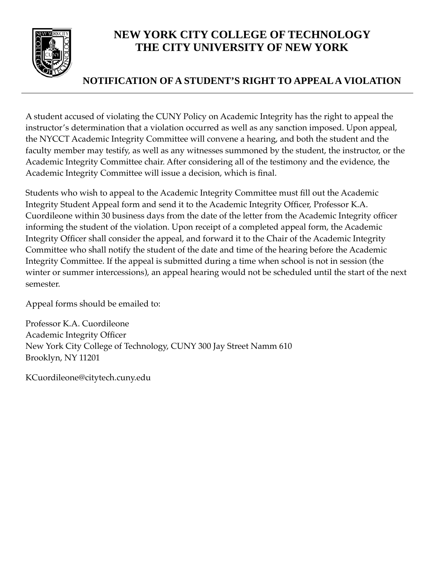

# **NEW YORK CITY COLLEGE OF TECHNOLOGY THE CITY UNIVERSITY OF NEW YORK**

### **NOTIFICATION OF A STUDENT'S RIGHT TO APPEAL A VIOLATION**

A student accused of violating the CUNY Policy on Academic Integrity has the right to appeal the instructor's determination that a violation occurred as well as any sanction imposed. Upon appeal, the NYCCT Academic Integrity Committee will convene a hearing, and both the student and the faculty member may testify, as well as any witnesses summoned by the student, the instructor, or the Academic Integrity Committee chair. After considering all of the testimony and the evidence, the Academic Integrity Committee will issue a decision, which is final.

Students who wish to appeal to the Academic Integrity Committee must fill out the Academic Integrity Student Appeal form and send it to the Academic Integrity Officer, Professor K.A. Cuordileone within 30 business days from the date of the letter from the Academic Integrity officer informing the student of the violation. Upon receipt of a completed appeal form, the Academic Integrity Officer shall consider the appeal, and forward it to the Chair of the Academic Integrity Committee who shall notify the student of the date and time of the hearing before the Academic Integrity Committee. If the appeal is submitted during a time when school is not in session (the winter or summer intercessions), an appeal hearing would not be scheduled until the start of the next semester.

Appeal forms should be emailed to:

Professor K.A. Cuordileone Academic Integrity Officer New York City College of Technology, CUNY 300 Jay Street Namm 610 Brooklyn, NY 11201

[KCuordileone@citytech.cuny.edu](mailto:KCuordileone@citytech.cuny.edu)